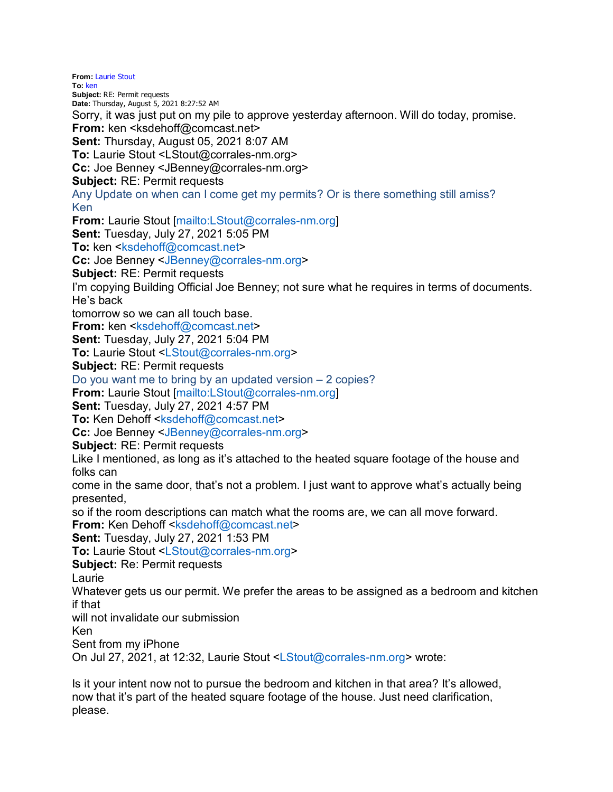**From:** Laurie Stout **To:** ken **Subject:** RE: Permit requests **Date:** Thursday, August 5, 2021 8:27:52 AM Sorry, it was just put on my pile to approve yesterday afternoon. Will do today, promise. **From: ken <ksdehoff@comcast.net> Sent:** Thursday, August 05, 2021 8:07 AM **To:** Laurie Stout <LStout@corrales-nm.org> **Cc:** Joe Benney <JBenney@corrales-nm.org> **Subject:** RE: Permit requests Any Update on when can I come get my permits? Or is there something still amiss? Ken **From:** Laurie Stout [mailto:LStout@corrales-nm.org] **Sent:** Tuesday, July 27, 2021 5:05 PM **To: ken <ksdehoff@comcast.net> Cc:** Joe Benney <JBenney@corrales-nm.org> **Subject:** RE: Permit requests I'm copying Building Official Joe Benney; not sure what he requires in terms of documents. He's back tomorrow so we can all touch base. **From:** ken <ksdehoff@comcast.net> **Sent:** Tuesday, July 27, 2021 5:04 PM **To:** Laurie Stout <LStout@corrales-nm.org> **Subject:** RE: Permit requests Do you want me to bring by an updated version – 2 copies? **From:** Laurie Stout [mailto:LStout@corrales-nm.org] **Sent:** Tuesday, July 27, 2021 4:57 PM **To:** Ken Dehoff <ksdehoff@comcast.net> **Cc:** Joe Benney <JBenney@corrales-nm.org> **Subject:** RE: Permit requests Like I mentioned, as long as it's attached to the heated square footage of the house and folks can come in the same door, that's not a problem. I just want to approve what's actually being presented, so if the room descriptions can match what the rooms are, we can all move forward. **From: Ken Dehoff <ksdehoff@comcast.net> Sent:** Tuesday, July 27, 2021 1:53 PM **To:** Laurie Stout <LStout@corrales-nm.org> **Subject:** Re: Permit requests Laurie Whatever gets us our permit. We prefer the areas to be assigned as a bedroom and kitchen if that will not invalidate our submission Ken Sent from my iPhone On Jul 27, 2021, at 12:32, Laurie Stout <LStout@corrales-nm.org> wrote:

Is it your intent now not to pursue the bedroom and kitchen in that area? It's allowed, now that it's part of the heated square footage of the house. Just need clarification, please.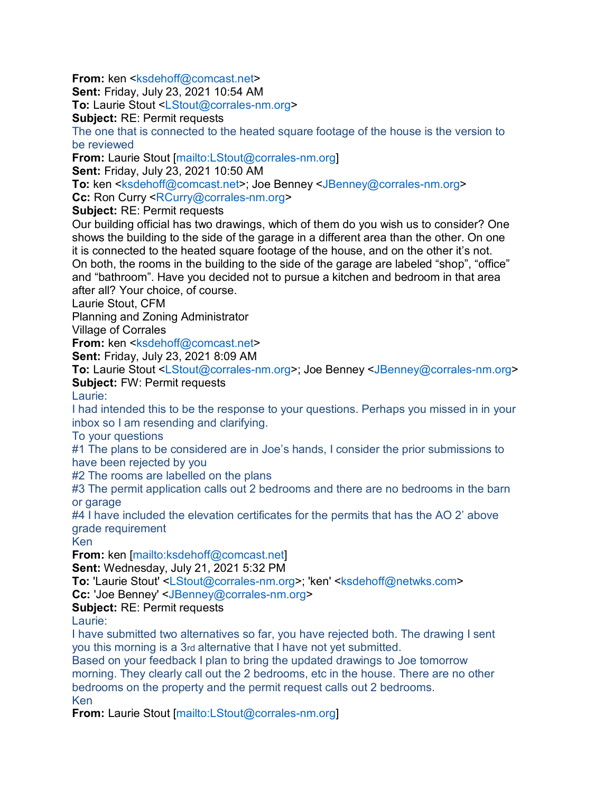**From: ken <ksdehoff@comcast.net>** 

**Sent:** Friday, July 23, 2021 10:54 AM

**To:** Laurie Stout <LStout@corrales-nm.org>

**Subject:** RE: Permit requests

The one that is connected to the heated square footage of the house is the version to be reviewed

**From:** Laurie Stout [mailto:LStout@corrales-nm.org]

**Sent:** Friday, July 23, 2021 10:50 AM

**To: ken <ksdehoff@comcast.net>; Joe Benney <JBenney@corrales-nm.org>** 

**Cc:** Ron Curry <RCurry@corrales-nm.org>

**Subject:** RE: Permit requests

Our building official has two drawings, which of them do you wish us to consider? One shows the building to the side of the garage in a different area than the other. On one it is connected to the heated square footage of the house, and on the other it's not. On both, the rooms in the building to the side of the garage are labeled "shop", "office" and "bathroom". Have you decided not to pursue a kitchen and bedroom in that area after all? Your choice, of course.

Laurie Stout, CFM

Planning and Zoning Administrator

Village of Corrales

**From:** ken <ksdehoff@comcast.net>

**Sent:** Friday, July 23, 2021 8:09 AM

**To: Laurie Stout <LStout@corrales-nm.org>; Joe Benney <JBenney@corrales-nm.org> Subject:** FW: Permit requests

Laurie:

I had intended this to be the response to your questions. Perhaps you missed in in your inbox so I am resending and clarifying.

To your questions

#1 The plans to be considered are in Joe's hands, I consider the prior submissions to have been rejected by you

#2 The rooms are labelled on the plans

#3 The permit application calls out 2 bedrooms and there are no bedrooms in the barn or garage

#4 I have included the elevation certificates for the permits that has the AO 2' above grade requirement

Ken

**From:** ken [mailto:ksdehoff@comcast.net]

**Sent:** Wednesday, July 21, 2021 5:32 PM

**To:** 'Laurie Stout' <LStout@corrales-nm.org>; 'ken' <ksdehoff@netwks.com>

**Cc:** 'Joe Benney' <JBenney@corrales-nm.org>

## **Subject:** RE: Permit requests

Laurie:

I have submitted two alternatives so far, you have rejected both. The drawing I sent you this morning is a 3rd alternative that I have not yet submitted.

Based on your feedback I plan to bring the updated drawings to Joe tomorrow morning. They clearly call out the 2 bedrooms, etc in the house. There are no other bedrooms on the property and the permit request calls out 2 bedrooms. Ken

**From:** Laurie Stout [mailto:LStout@corrales-nm.org]